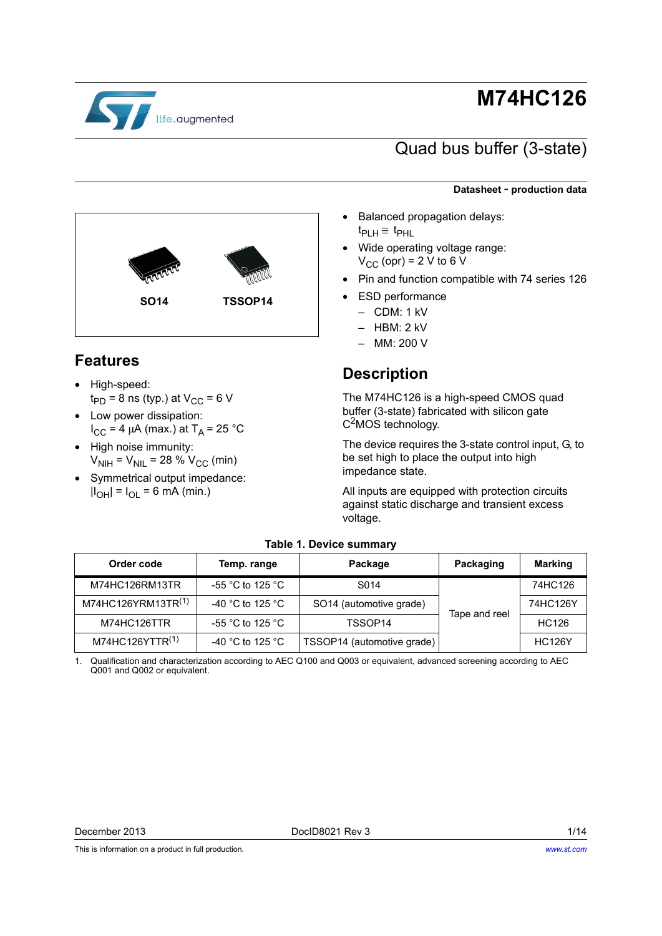

# **M74HC126**

## Quad bus buffer (3-state)

#### **Datasheet** - **production data**

- Balanced propagation delays:  $t_{PI\;H} \cong t_{PHL}$
- Wide operating voltage range:  $V_{CC}$  (opr) = 2 V to 6 V
- Pin and function compatible with 74 series 126
- **ESD** performance
	- CDM: 1 kV
	- HBM: 2 kV
	- MM: 200 V

### **Description**

The M74HC126 is a high-speed CMOS quad buffer (3-state) fabricated with silicon gate  $C<sup>2</sup>MOS$  technology.

The device requires the 3-state control input, G, to be set high to place the output into high impedance state.

All inputs are equipped with protection circuits against static discharge and transient excess voltage.

<span id="page-0-2"></span>

| Order code                     | Temp. range                          | Package                    | Packaging     | <b>Marking</b> |
|--------------------------------|--------------------------------------|----------------------------|---------------|----------------|
| M74HC126RM13TR                 | -55 $^{\circ}$ C to 125 $^{\circ}$ C | S <sub>0</sub> 14          |               | 74HC126        |
| M74HC126YRM13TR <sup>(1)</sup> | -40 °C to 125 °C                     | SO14 (automotive grade)    | Tape and reel | 74HC126Y       |
| M74HC126TTR                    | -55 $^{\circ}$ C to 125 $^{\circ}$ C | TSSOP14                    |               | HC126          |
| M74HC126YTTR <sup>(1)</sup>    | -40 °C to 125 °C                     | TSSOP14 (automotive grade) |               | <b>HC126Y</b>  |

#### **Table 1. Device summary**

<span id="page-0-0"></span>1. Qualification and characterization according to AEC Q100 and Q003 or equivalent, advanced screening according to AEC Q001 and Q002 or equivalent.

This is information on a product in full production.



### <span id="page-0-1"></span>**Features**

- High-speed:  $t_{\text{PD}}$  = 8 ns (typ.) at V<sub>CC</sub> = 6 V
- Low power dissipation:  $I_{CC}$  = 4 μA (max.) at T<sub>A</sub> = 25 °C
- High noise immunity:  $V_{\text{NIH}} = V_{\text{NIL}} = 28 \% V_{\text{CC}}$  (min)
- Symmetrical output impedance:  $|I_{OH}| = I_{OL} = 6$  mA (min.)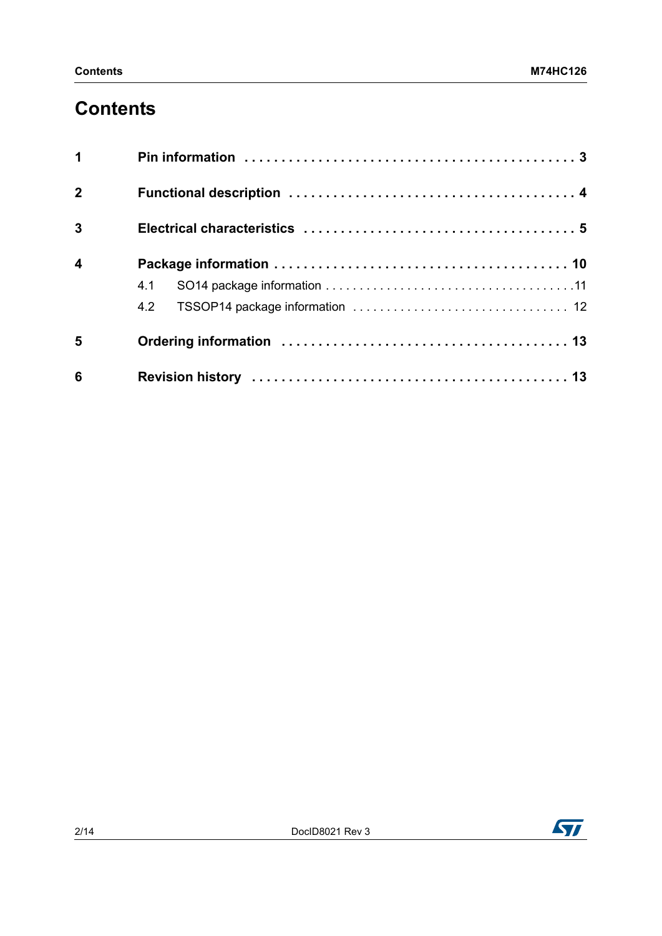# **Contents**

| $\mathbf 1$             |     |
|-------------------------|-----|
| $\overline{2}$          |     |
| $\overline{3}$          |     |
| $\overline{\mathbf{4}}$ |     |
|                         | 4.1 |
|                         |     |
| 5                       |     |
| 6                       |     |

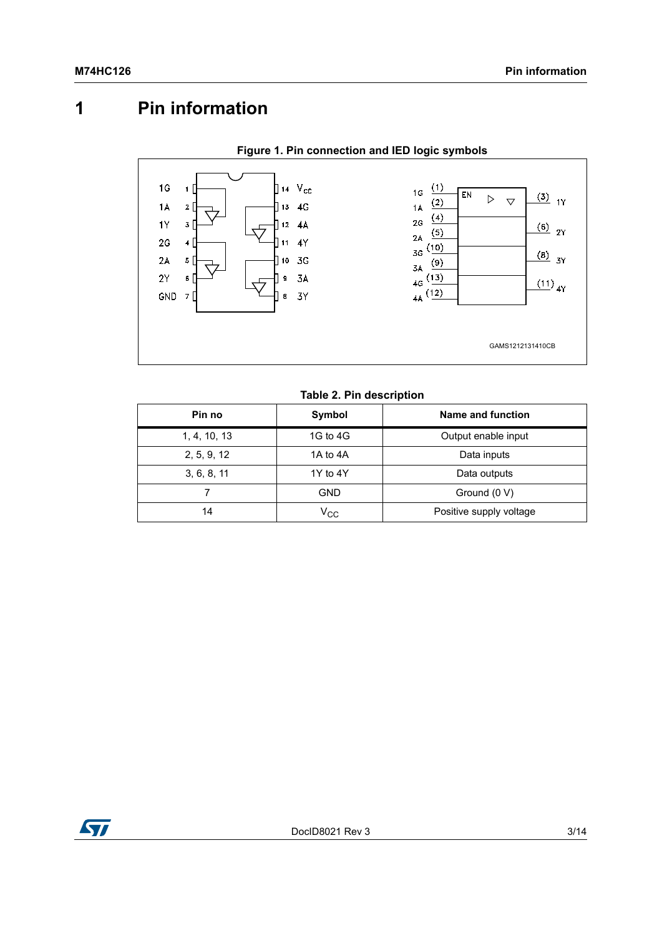# <span id="page-2-0"></span>**1 Pin information**



#### **Table 2. Pin description**

| Pin no       | Symbol          | Name and function       |
|--------------|-----------------|-------------------------|
| 1, 4, 10, 13 | 1G to 4G        | Output enable input     |
| 2, 5, 9, 12  | 1A to 4A        | Data inputs             |
| 3, 6, 8, 11  | 1Y to 4Y        | Data outputs            |
|              | GND             | Ground (0 V)            |
| 14           | V <sub>CC</sub> | Positive supply voltage |

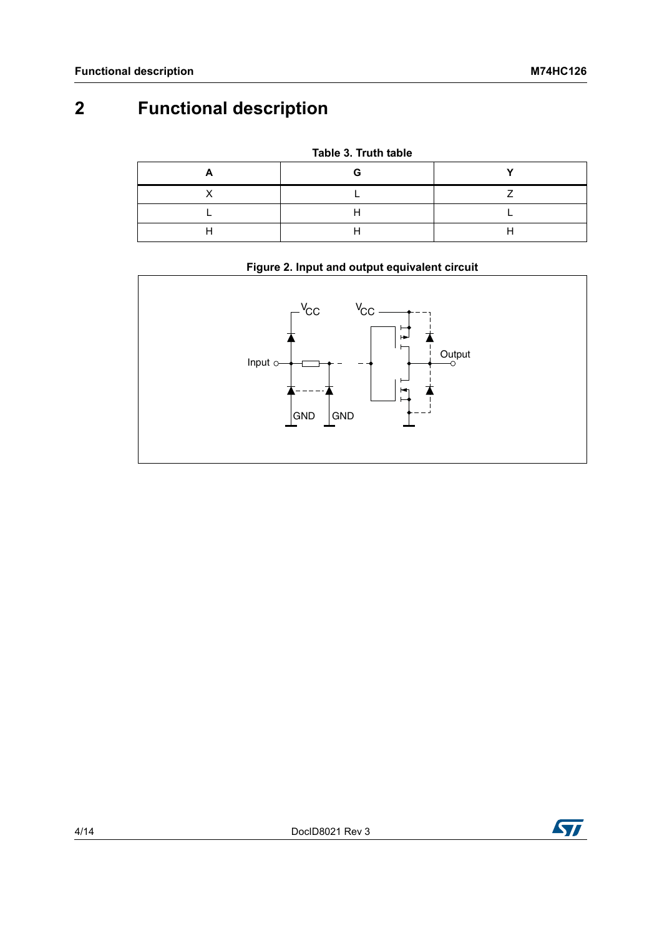# <span id="page-3-0"></span>**2 Functional description**

**Table 3. Truth table**

### **Figure 2. Input and output equivalent circuit**



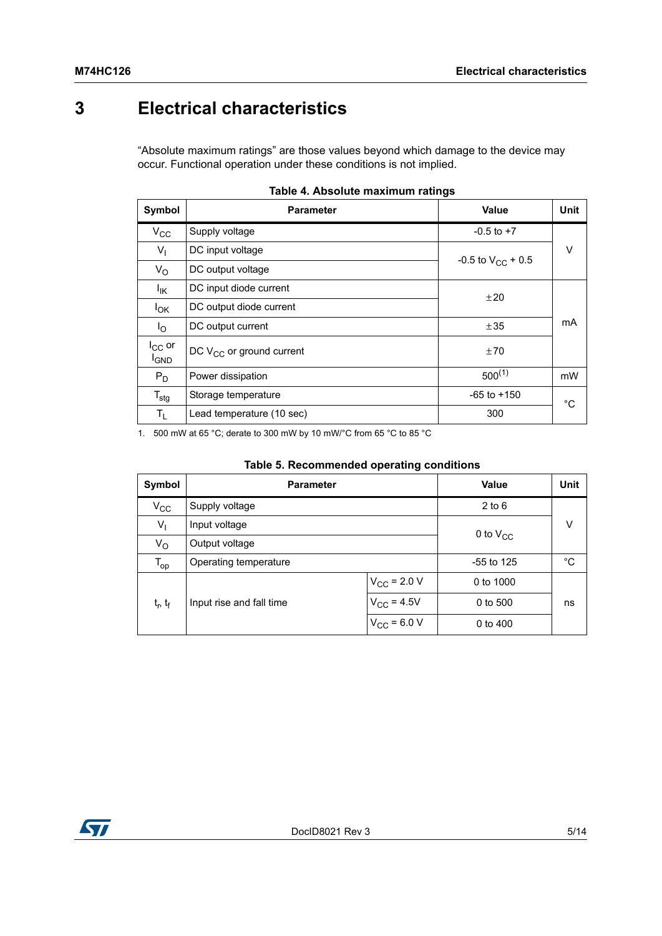# <span id="page-4-0"></span>**3 Electrical characteristics**

"Absolute maximum ratings" are those values beyond which damage to the device may occur. Functional operation under these conditions is not implied.

| Symbol                      | <b>Parameter</b>              | <b>Value</b>           | <b>Unit</b> |
|-----------------------------|-------------------------------|------------------------|-------------|
| $V_{\rm CC}$                | Supply voltage                | $-0.5$ to $+7$         |             |
| $V_{\parallel}$             | DC input voltage              | -0.5 to $V_{CC}$ + 0.5 | V           |
| $V_{\rm O}$                 | DC output voltage             |                        |             |
| lικ                         | DC input diode current        | ±20                    |             |
| $I_{OK}$                    | DC output diode current       |                        |             |
| $I_{\rm O}$                 | DC output current             | ±35                    | mA          |
| $I_{CC}$ or<br><b>I</b> GND | DC $V_{CC}$ or ground current | ±70                    |             |
| $P_D$                       | Power dissipation             | $500^{(1)}$            | mW          |
| $T_{\text{stg}}$            | Storage temperature           | $-65$ to $+150$        | $^{\circ}C$ |
| $T_L$                       | Lead temperature (10 sec)     | 300                    |             |

|  |  | Table 4. Absolute maximum ratings |  |
|--|--|-----------------------------------|--|
|--|--|-----------------------------------|--|

1. 500 mW at 65 °C; derate to 300 mW by 10 mW/°C from 65 °C to 85 °C

| Symbol            | <b>Parameter</b>         |                         | Value         | <b>Unit</b> |
|-------------------|--------------------------|-------------------------|---------------|-------------|
| $V_{\rm CC}$      | Supply voltage           |                         | $2$ to 6      |             |
| $V_{\parallel}$   | Input voltage            |                         | 0 to $V_{CC}$ | v           |
| $V_{\rm O}$       | Output voltage           |                         |               |             |
| $T_{op}$          | Operating temperature    |                         | $-55$ to 125  | °C          |
|                   |                          | $V_{\text{CC}}$ = 2.0 V | 0 to 1000     |             |
| $t_{r}$ , $t_{f}$ | Input rise and fall time | $V_{\rm CC} = 4.5V$     | 0 to 500      | ns          |
|                   |                          | $V_{\rm CC}$ = 6.0 V    | 0 to 400      |             |

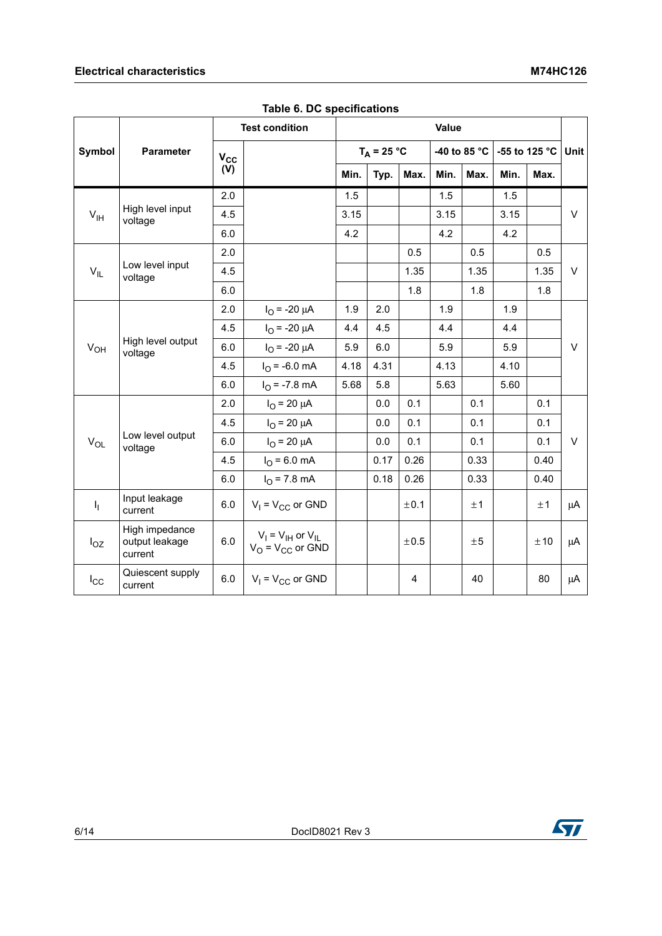### **Electrical characteristics** M74HC126

|                                                 |                                             | <b>Test condition</b>        |                                                     | Value |      |      |                            |      |               |        |        |
|-------------------------------------------------|---------------------------------------------|------------------------------|-----------------------------------------------------|-------|------|------|----------------------------|------|---------------|--------|--------|
| Symbol                                          | <b>Parameter</b>                            | $V_{CC}$                     | $T_A = 25 °C$                                       |       |      |      | -40 to 85 $^{\circ}$ C $ $ |      | -55 to 125 °C | Unit   |        |
|                                                 |                                             | (V)                          |                                                     | Min.  | Typ. | Max. | Min.                       | Max. | Min.          | Max.   |        |
|                                                 |                                             | 2.0                          |                                                     | 1.5   |      |      | 1.5                        |      | 1.5           |        |        |
| $V_{IH}$                                        | High level input<br>voltage                 | 4.5                          |                                                     | 3.15  |      |      | 3.15                       |      | 3.15          |        | $\vee$ |
|                                                 |                                             | 6.0                          |                                                     | 4.2   |      |      | 4.2                        |      | 4.2           |        |        |
|                                                 |                                             | 2.0                          |                                                     |       |      | 0.5  |                            | 0.5  |               | 0.5    |        |
| $V_{IL}$                                        | Low level input<br>voltage                  | 4.5                          |                                                     |       |      | 1.35 |                            | 1.35 |               | 1.35   | $\vee$ |
|                                                 |                                             | 6.0                          |                                                     |       |      | 1.8  |                            | 1.8  |               | 1.8    |        |
|                                                 |                                             | 2.0                          | $I_{\Omega}$ = -20 $\mu$ A                          | 1.9   | 2.0  |      | 1.9                        |      | 1.9           |        |        |
|                                                 |                                             | 4.5                          | $I_{\Omega}$ = -20 $\mu$ A                          | 4.4   | 4.5  |      | 4.4                        |      | 4.4           |        |        |
| High level output<br>V <sub>OH</sub><br>voltage | 6.0                                         | $I_{\text{O}}$ = -20 $\mu$ A | 5.9                                                 | 6.0   |      | 5.9  |                            | 5.9  |               | $\vee$ |        |
|                                                 | 4.5                                         | $I_{O}$ = -6.0 mA            | 4.18                                                | 4.31  |      | 4.13 |                            | 4.10 |               |        |        |
|                                                 |                                             | 6.0                          | $I_{\Omega}$ = -7.8 mA                              | 5.68  | 5.8  |      | 5.63                       |      | 5.60          |        |        |
|                                                 |                                             | 2.0                          | $I_{\Omega}$ = 20 $\mu$ A                           |       | 0.0  | 0.1  |                            | 0.1  |               | 0.1    |        |
|                                                 |                                             | 4.5                          | $I_{\Omega}$ = 20 $\mu$ A                           |       | 0.0  | 0.1  |                            | 0.1  |               | 0.1    |        |
| $V_{OL}$                                        | Low level output<br>voltage                 | 6.0                          | $I_{\rm O}$ = 20 $\mu$ A                            |       | 0.0  | 0.1  |                            | 0.1  |               | 0.1    | $\vee$ |
|                                                 |                                             | 4.5                          | $I_{\Omega}$ = 6.0 mA                               |       | 0.17 | 0.26 |                            | 0.33 |               | 0.40   |        |
|                                                 |                                             | 6.0                          | $I_{\rm O}$ = 7.8 mA                                |       | 0.18 | 0.26 |                            | 0.33 |               | 0.40   |        |
| $I_1$                                           | Input leakage<br>current                    | 6.0                          | $V_1 = V_{CC}$ or GND                               |       |      | ±0.1 |                            | ±1   |               | ±1     | μA     |
| $I_{OZ}$                                        | High impedance<br>output leakage<br>current | 6.0                          | $V_I = V_{IH}$ or $V_{IL}$<br>$V_O = V_{CC}$ or GND |       |      | ±0.5 |                            | ±5   |               | ±10    | μA     |
| $I_{\rm CC}$                                    | Quiescent supply<br>current                 | 6.0                          | $V_1 = V_{CC}$ or GND                               |       |      | 4    |                            | 40   |               | 80     | μA     |

**Table 6. DC specifications**

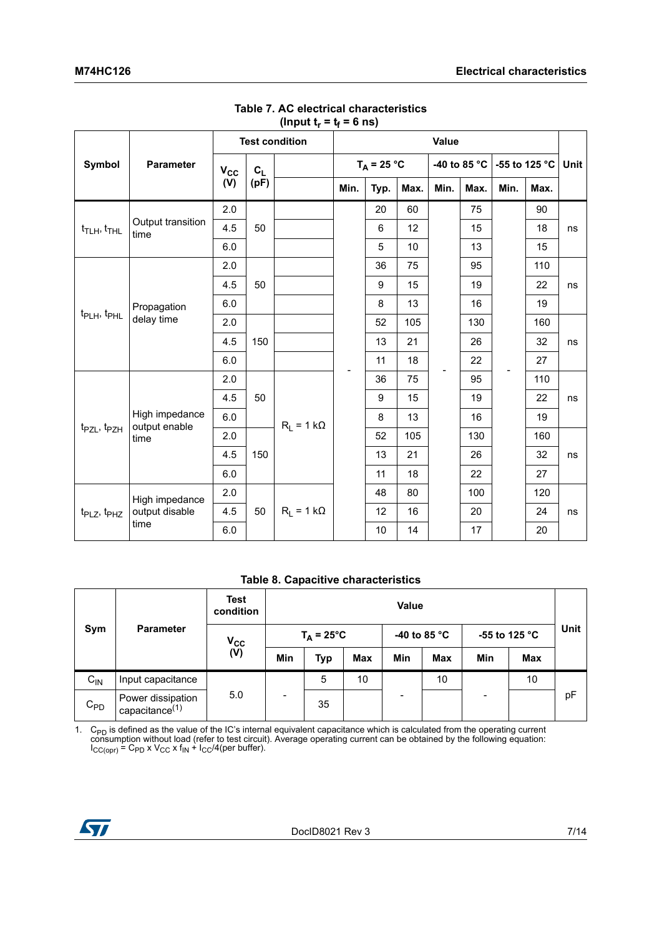|                                         |                                 | <b>Test condition</b> |                | Value             |      |                  |      |      |                        |      |               |      |
|-----------------------------------------|---------------------------------|-----------------------|----------------|-------------------|------|------------------|------|------|------------------------|------|---------------|------|
| <b>Symbol</b>                           | <b>Parameter</b>                | $V_{CC}$              | c <sub>L</sub> |                   |      | $T_A = 25 °C$    |      |      | -40 to 85 $^{\circ}$ C |      | -55 to 125 °C | Unit |
|                                         |                                 | (V)                   | (pF)           |                   | Min. | Typ.             | Max. | Min. | Max.                   | Min. | Max.          |      |
|                                         |                                 | 2.0                   |                |                   |      | 20               | 60   |      | 75                     |      | 90            |      |
| $t$ <sub>TLH</sub> , $t$ <sub>THL</sub> | Output transition<br>time       | 4.5                   | 50             |                   |      | 6                | 12   |      | 15                     |      | 18            | ns   |
|                                         |                                 | 6.0                   |                |                   |      | 5                | 10   |      | 13                     |      | 15            |      |
|                                         |                                 | 2.0                   |                |                   |      | 36               | 75   |      | 95                     |      | 110           |      |
|                                         |                                 | 4.5                   | 50             |                   |      | 9                | 15   |      | 19                     |      | 22            | ns   |
|                                         | Propagation                     | 6.0                   |                |                   |      | 8                | 13   |      | 16                     |      | 19            |      |
| t <sub>PLH</sub> , t <sub>PHL</sub>     | delay time                      | 2.0                   |                |                   |      | 52               | 105  |      | 130                    |      | 160           |      |
|                                         |                                 | 4.5                   | 150            |                   |      | 13               | 21   |      | 26                     |      | 32            | ns   |
|                                         |                                 | 6.0                   |                |                   |      | 11               | 18   |      | 22                     |      | 27            |      |
|                                         |                                 | 2.0                   |                |                   |      | 36               | 75   |      | 95                     |      | 110           |      |
|                                         |                                 | 4.5                   | 50             |                   |      | $\boldsymbol{9}$ | 15   |      | 19                     |      | 22            | ns   |
|                                         | High impedance<br>output enable | 6.0                   |                | $R_1 = 1 k\Omega$ |      | 8                | 13   |      | 16                     |      | 19            |      |
| t <sub>PZL</sub> , t <sub>PZH</sub>     | time                            | 2.0                   |                |                   |      | 52               | 105  |      | 130                    |      | 160           |      |
|                                         |                                 | 4.5                   | 150            |                   |      | 13               | 21   |      | 26                     |      | 32            | ns   |
|                                         |                                 | 6.0                   |                |                   |      | 11               | 18   |      | 22                     |      | 27            |      |
|                                         | High impedance                  | 2.0                   |                |                   |      | 48               | 80   |      | 100                    |      | 120           |      |
| t <sub>PLZ</sub> , t <sub>PHZ</sub>     | output disable                  | 4.5                   | 50             | $R_1 = 1 k\Omega$ |      | 12               | 16   |      | 20                     |      | 24            | ns   |
|                                         | time                            | 6.0                   |                |                   |      | 10               | 14   |      | 17                     |      | 20            |      |

#### **Table 7. AC electrical characteristics**  (Input  $t_r = t_f = 6$  ns)

#### **Table 8. Capacitive characteristics**

|          |                                        | <b>Test</b><br>condition | Value                    |            |            |                |               |     |             |    |
|----------|----------------------------------------|--------------------------|--------------------------|------------|------------|----------------|---------------|-----|-------------|----|
| Sym      | <b>Parameter</b>                       | $V_{\rm CC}$             | $T_A = 25^{\circ}C$      |            |            | -40 to 85 $°C$ | -55 to 125 °C |     | <b>Unit</b> |    |
|          |                                        | (V)                      | Min                      | <b>Typ</b> | <b>Max</b> | Min            | <b>Max</b>    | Min | Max         |    |
| $C_{IN}$ | Input capacitance                      |                          |                          | 5          | 10         |                | 10            |     | 10          |    |
| $C_{PD}$ | Power dissipation<br>capacitance $(1)$ | 5.0                      | $\overline{\phantom{a}}$ | 35         |            |                |               |     |             | pF |

1. C<sub>PD</sub> is defined as the value of the IC's internal equivalent capacitance which is calculated from the operating current consumption without load (refer to test circuit). Average operating current can be obtained by the  $I_{CC(opr)}$  = C<sub>PD</sub> x V<sub>CC</sub> x f<sub>IN</sub> +  $I_{CC}/4$ (per buffer).

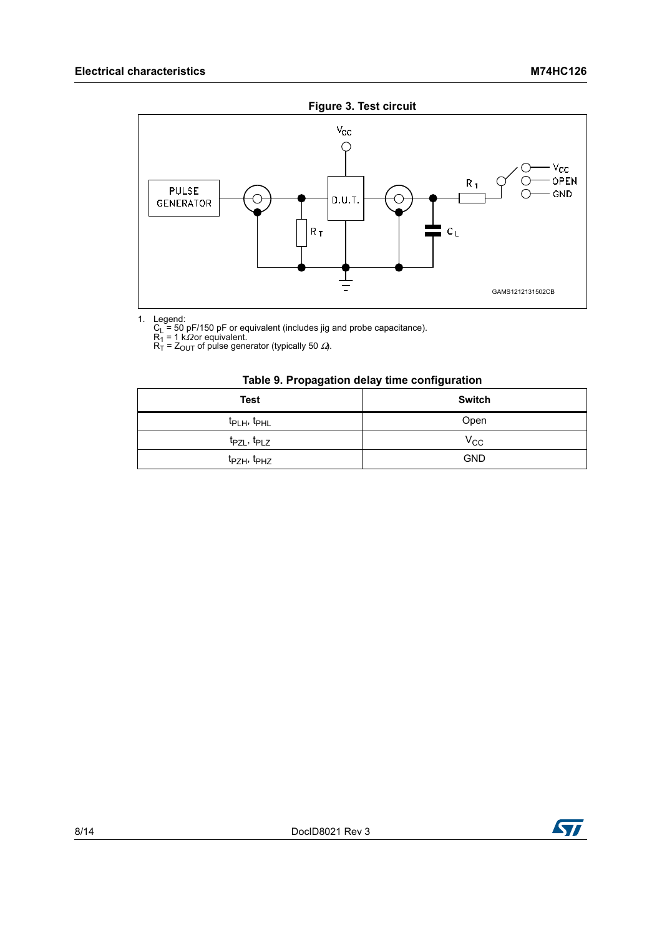

1. Legend:<br>
C<sub>L</sub> = 50 pF/150 pF or equivalent (includes jig and probe capacitance).<br>
R<sub>1</sub> = 1 kΩor equivalent.<br>
R<sub>T</sub> = Z<sub>OUT</sub> of pulse generator (typically 50 *Ω*).

#### **Table 9. Propagation delay time configuration**

| <b>Test</b>                         | <b>Switch</b> |
|-------------------------------------|---------------|
| t <sub>PLH</sub> , t <sub>PHL</sub> | Open          |
| $t_{PZL}$ , $t_{PLZ}$               | $V_{\rm CC}$  |
| t <sub>PZH</sub> , t <sub>PHZ</sub> | <b>GND</b>    |

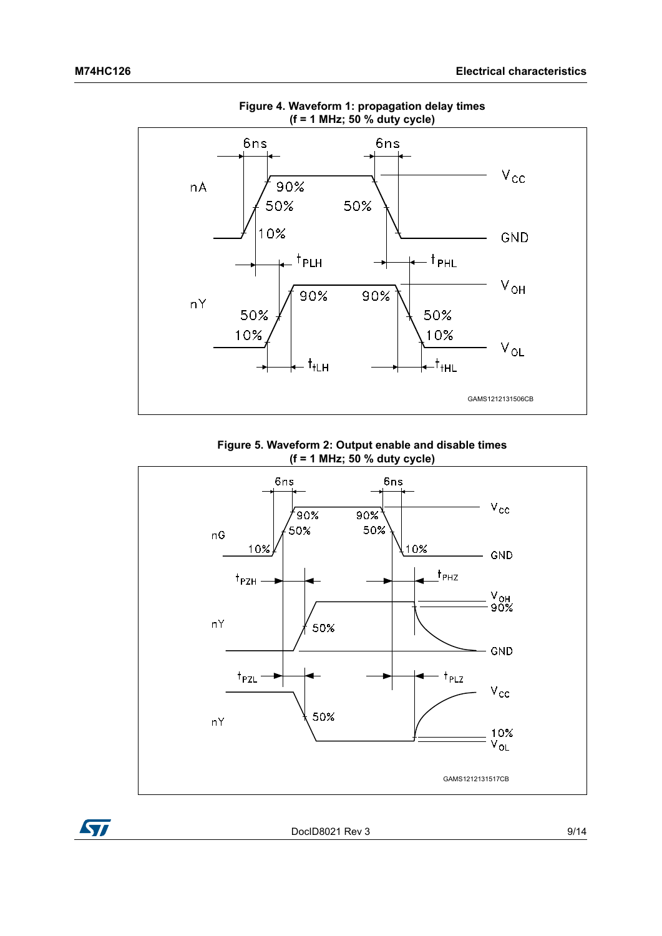

**Figure 4. Waveform 1: propagation delay times (f = 1 MHz; 50 % duty cycle)**

**Figure 5. Waveform 2: Output enable and disable times (f = 1 MHz; 50 % duty cycle)**



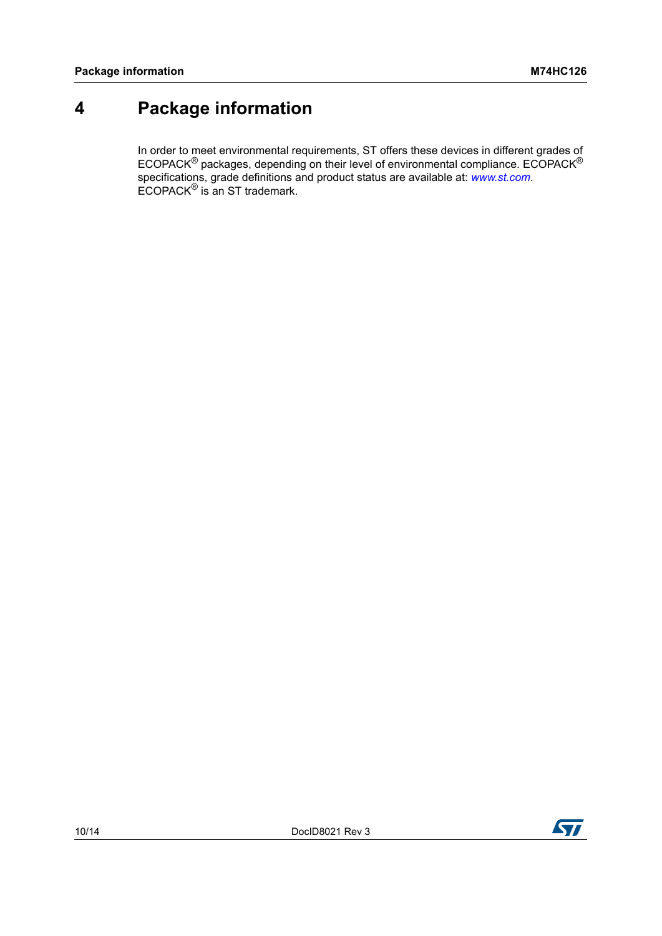# <span id="page-9-0"></span>**4 Package information**

In order to meet environmental requirements, ST offers these devices in different grades of ECOPACK<sup>®</sup> packages, depending on their level of environmental compliance. ECOPACK<sup>®</sup> specifications, grade definitions and product status are available at: *[www.st.com](http://www.st.com)*. ECOPACK® is an ST trademark.



**177**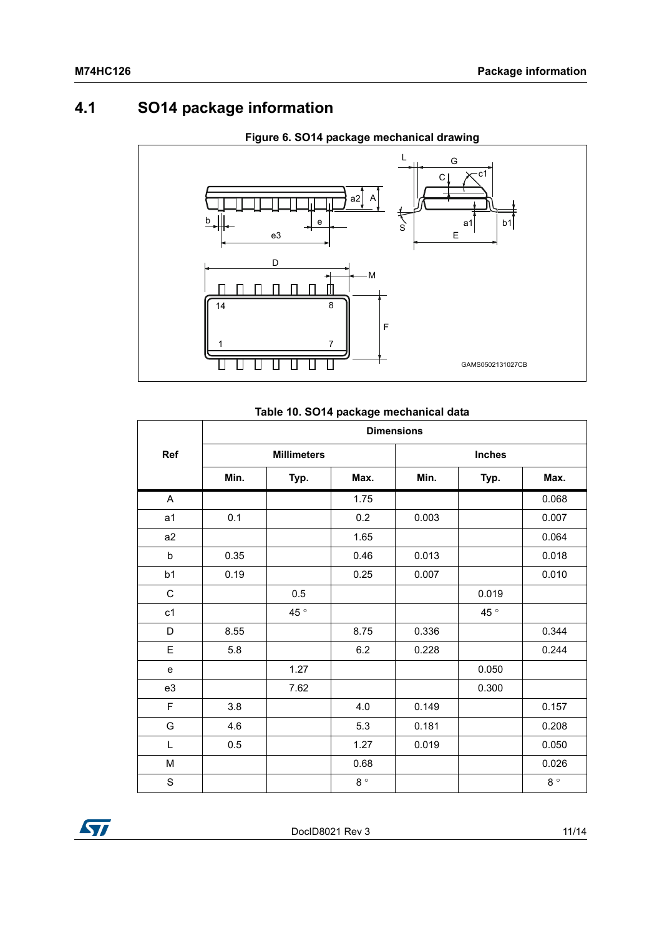## <span id="page-10-0"></span>**4.1 SO14 package information**



### **Figure 6. SO14 package mechanical drawing**

### **Table 10. SO14 package mechanical data**

|                | <b>Dimensions</b>  |      |             |               |       |             |  |
|----------------|--------------------|------|-------------|---------------|-------|-------------|--|
| Ref            | <b>Millimeters</b> |      |             | <b>Inches</b> |       |             |  |
|                | Min.               | Typ. | Max.        | Min.          | Typ.  | Max.        |  |
| A              |                    |      | 1.75        |               |       | 0.068       |  |
| a1             | 0.1                |      | 0.2         | 0.003         |       | 0.007       |  |
| a <sub>2</sub> |                    |      | 1.65        |               |       | 0.064       |  |
| $\sf b$        | 0.35               |      | 0.46        | 0.013         |       | 0.018       |  |
| b1             | 0.19               |      | 0.25        | 0.007         |       | 0.010       |  |
| $\mathsf C$    |                    | 0.5  |             |               | 0.019 |             |  |
| c1             |                    | 45°  |             |               | 45°   |             |  |
| D              | 8.55               |      | 8.75        | 0.336         |       | 0.344       |  |
| E              | 5.8                |      | 6.2         | 0.228         |       | 0.244       |  |
| e              |                    | 1.27 |             |               | 0.050 |             |  |
| e3             |                    | 7.62 |             |               | 0.300 |             |  |
| F              | 3.8                |      | 4.0         | 0.149         |       | 0.157       |  |
| G              | 4.6                |      | 5.3         | 0.181         |       | 0.208       |  |
| L              | 0.5                |      | 1.27        | 0.019         |       | 0.050       |  |
| M              |                    |      | 0.68        |               |       | 0.026       |  |
| $\mathbf S$    |                    |      | $8^{\circ}$ |               |       | $8^{\circ}$ |  |

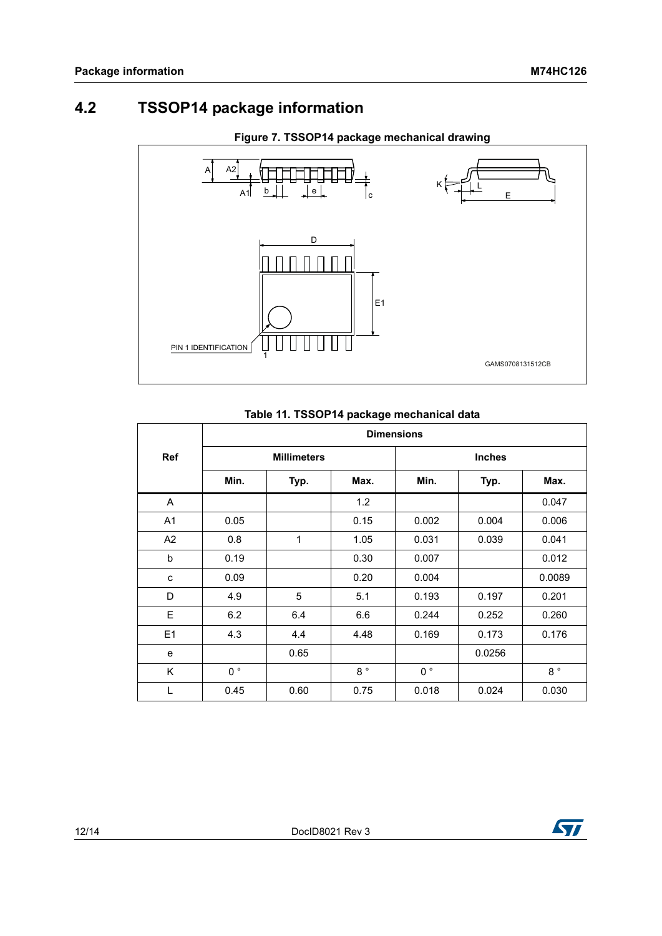## <span id="page-11-0"></span>**4.2 TSSOP14 package information**



### **Figure 7. TSSOP14 package mechanical drawing**

### **Table 11. TSSOP14 package mechanical data**

|                | <b>Dimensions</b>  |      |             |               |        |             |  |
|----------------|--------------------|------|-------------|---------------|--------|-------------|--|
| <b>Ref</b>     | <b>Millimeters</b> |      |             | <b>Inches</b> |        |             |  |
|                | Min.               | Typ. | Max.        | Min.          | Typ.   | Max.        |  |
| A              |                    |      | 1.2         |               |        | 0.047       |  |
| A <sub>1</sub> | 0.05               |      | 0.15        | 0.002         | 0.004  | 0.006       |  |
| A2             | 0.8                | 1    | 1.05        | 0.031         | 0.039  | 0.041       |  |
| b              | 0.19               |      | 0.30        | 0.007         |        | 0.012       |  |
| C              | 0.09               |      | 0.20        | 0.004         |        | 0.0089      |  |
| D              | 4.9                | 5    | 5.1         | 0.193         | 0.197  | 0.201       |  |
| E              | 6.2                | 6.4  | 6.6         | 0.244         | 0.252  | 0.260       |  |
| E <sub>1</sub> | 4.3                | 4.4  | 4.48        | 0.169         | 0.173  | 0.176       |  |
| e              |                    | 0.65 |             |               | 0.0256 |             |  |
| K              | $0^{\circ}$        |      | $8^{\circ}$ | $0^{\circ}$   |        | $8^{\circ}$ |  |
| L              | 0.45               | 0.60 | 0.75        | 0.018         | 0.024  | 0.030       |  |

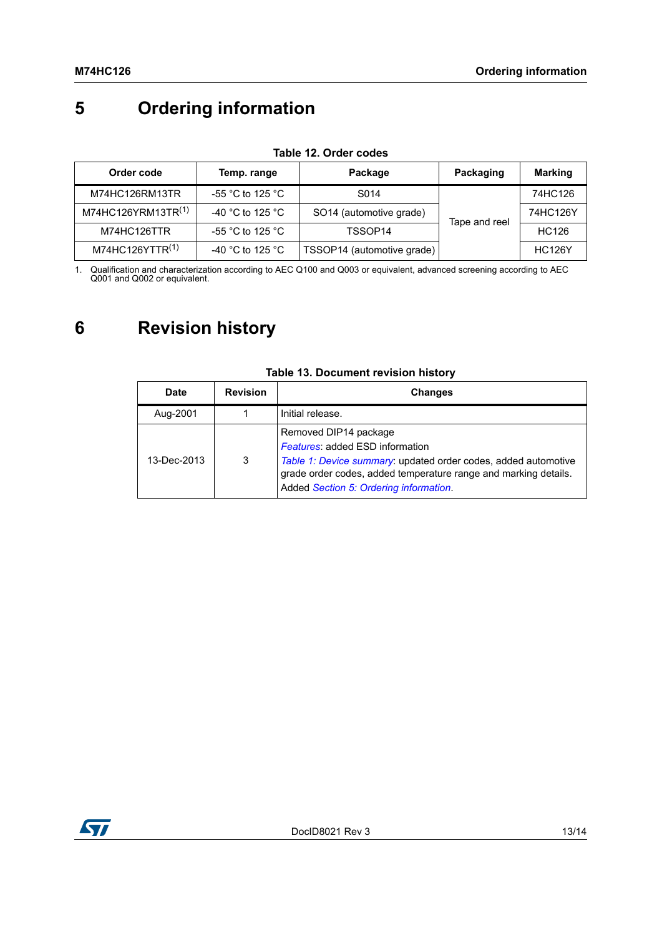# <span id="page-12-0"></span>**5 Ordering information**

| Order code                     | Temp. range                          | Package                    | Packaging     | <b>Marking</b> |
|--------------------------------|--------------------------------------|----------------------------|---------------|----------------|
| M74HC126RM13TR                 | -55 $^{\circ}$ C to 125 $^{\circ}$ C | S014                       |               | 74HC126        |
| M74HC126YRM13TR <sup>(1)</sup> | -40 °C to 125 °C                     | SO14 (automotive grade)    | Tape and reel | 74HC126Y       |
| M74HC126TTR                    | -55 °C to 125 °C                     | TSSOP14                    |               | HC126          |
| M74HC126YTTR <sup>(1)</sup>    | -40 °C to 125 °C                     | TSSOP14 (automotive grade) |               | <b>HC126Y</b>  |

#### **Table 12. Order codes**

1. Qualification and characterization according to AEC Q100 and Q003 or equivalent, advanced screening according to AEC Q001 and Q002 or equivalent.

## <span id="page-12-1"></span>**6 Revision history**

| Date        | <b>Revision</b> | <b>Changes</b>                                                                                                                                                                                                                                 |
|-------------|-----------------|------------------------------------------------------------------------------------------------------------------------------------------------------------------------------------------------------------------------------------------------|
| Aug-2001    |                 | Initial release.                                                                                                                                                                                                                               |
| 13-Dec-2013 | 3               | Removed DIP14 package<br><b>Features: added ESD information</b><br>Table 1: Device summary: updated order codes, added automotive<br>grade order codes, added temperature range and marking details.<br>Added Section 5: Ordering information. |

### **Table 13. Document revision history**